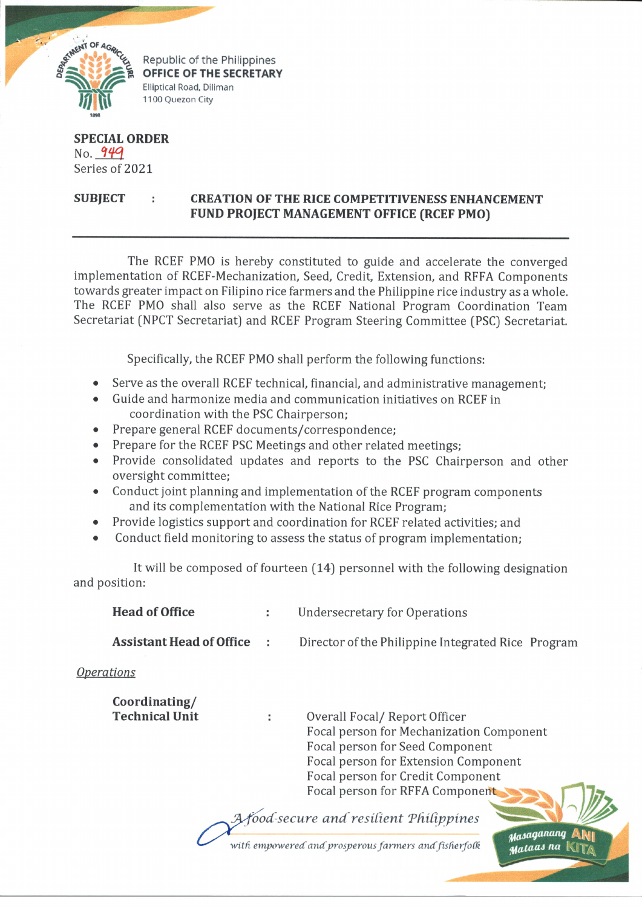

Republic of the Philippines **OFFICE OF THE SECRETARY** Elliptical Road, Diliman 1100 Quezon City

## **SPECIAL ORDER** No. 949 Series of 2021

## **SUBJECT : CREATION OF THE RICE COMPETITIVENESS ENHANCEMENT FUND PROJECT MANAGEMENT OFFICE (RCEF PMO)**

The RCEF PMO is hereby constituted to guide and accelerate the converged implementation of RCEF-Mechanization, Seed, Credit, Extension, and RFFA Components towards greater impact on Filipino rice farmers and the Philippine rice industry as a whole. The RCEF PMO shall also serve as the RCEF National Program Coordination Team Secretariat (NPCT Secretariat) and RCEF Program Steering Committee (PSC) Secretariat.

Specifically, the RCEF PMO shall perform the following functions:

- Serve as the overall RCEF technical, financial, and administrative management;
- Guide and harmonize media and communication initiatives on RCEF in coordination with the PSC Chairperson;
- Prepare general RCEF documents/correspondence;
- Prepare for the RCEF PSC Meetings and other related meetings;
- Provide consolidated updates and reports to the PSC Chairperson and other oversight committee;
- Conduct joint planning and implementation of the RCEF program components and its complementation with the National Rice Program;
- Provide logistics support and coordination for RCEF related activities; and
- Conduct field monitoring to assess the status of program implementation;

It will be composed of fourteen (14) personnel with the following designation and position:

| <b>Head of Office</b>                  |   | <b>Undersecretary for Operations</b>                                                                                                                                                                                                                                                                                                                                                     |  |  |
|----------------------------------------|---|------------------------------------------------------------------------------------------------------------------------------------------------------------------------------------------------------------------------------------------------------------------------------------------------------------------------------------------------------------------------------------------|--|--|
| <b>Assistant Head of Office</b>        | ÷ | Director of the Philippine Integrated Rice Program                                                                                                                                                                                                                                                                                                                                       |  |  |
| <i><u><b>Operations</b></u></i>        |   |                                                                                                                                                                                                                                                                                                                                                                                          |  |  |
| Coordinating/<br><b>Technical Unit</b> |   | Overall Focal/Report Officer<br>Focal person for Mechanization Component<br>Focal person for Seed Component<br>Focal person for Extension Component<br>Focal person for Credit Component<br>Focal person for RFFA Component<br>$\mathcal{L}$ $\mathcal{L}$ $\mathcal{L}$ $\mathcal{L}$ $\mathcal{L}$ $\mathcal{L}$ $\mathcal{L}$ $\mathcal{L}$ $\mathcal{L}$ $\mathcal{L}$ $\mathcal{L}$ |  |  |

ood-secure and resilient Philippines

with empowered and prosperous farmers and fisherfolk

Masaganang

**Mataas** na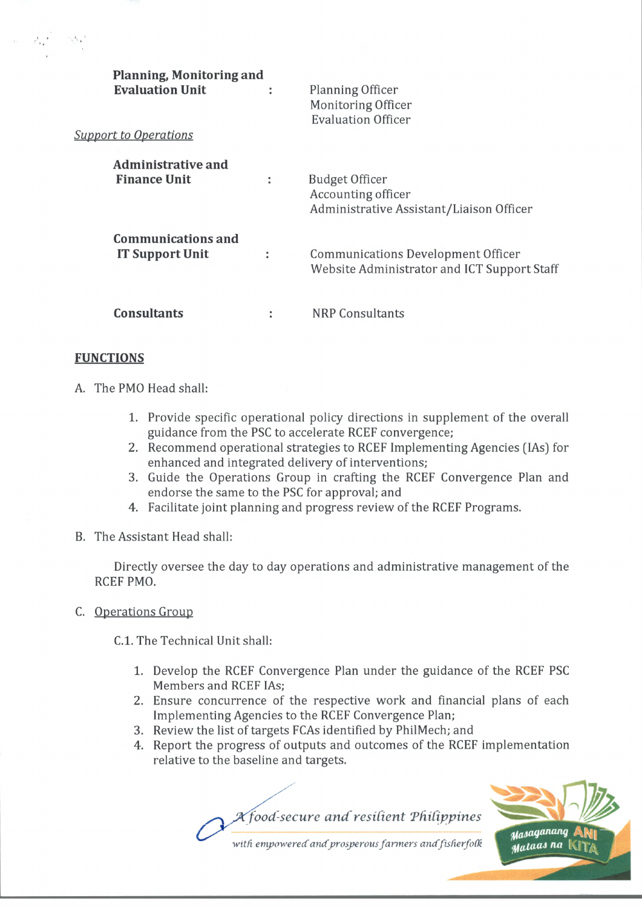| Planning, Monitoring and<br><b>Evaluation Unit</b>  | ÷ | Planning Officer<br>Monitoring Officer<br><b>Evaluation Officer</b>                     |
|-----------------------------------------------------|---|-----------------------------------------------------------------------------------------|
| <b>Support to Operations</b>                        |   |                                                                                         |
| Administrative and<br><b>Finance Unit</b>           |   | <b>Budget Officer</b><br>Accounting officer<br>Administrative Assistant/Liaison Officer |
| <b>Communications and</b><br><b>IT Support Unit</b> |   | Communications Development Officer<br>Website Administrator and ICT Support Staff       |
| <b>Consultants</b>                                  |   | NRP Consultants                                                                         |

## **FUNCTIONS**

- A. The PMO Head shall:
	- 1. Provide specific operational policy directions in supplement of the overall guidance from the PSC to accelerate RCEF convergence;
	- 2. Recommend operational strategies to RCEF Implementing Agencies (IAs) for enhanced and integrated delivery of interventions;
	- 3. Guide the Operations Group in crafting the RCEF Convergence Plan and endorse the same to the PSC for approval; and
	- 4. Facilitate joint planning and progress review of the RCEF Programs.
- B. The Assistant Head shall:

Directly oversee the day to day operations and administrative management of the RCEF PMO.

C. Operations Group

C.l. The Technical Unit shall:

- 1. Develop the RCEF Convergence Plan under the guidance of the RCEF PSC Members and RCEF IAs;
- 2. Ensure concurrence of the respective work and financial plans of each Implementing Agencies to the RCEF Convergence Plan;
- 3. Review the list of targets FCAs identified by PhilMech; and
- 4. Report the progress of outputs and outcomes of the RCEF implementation relative to the baseline and targets.

*PC food-secure and' resilient 'Philippines*



with empowered and prosperous farmers and fisherfolk